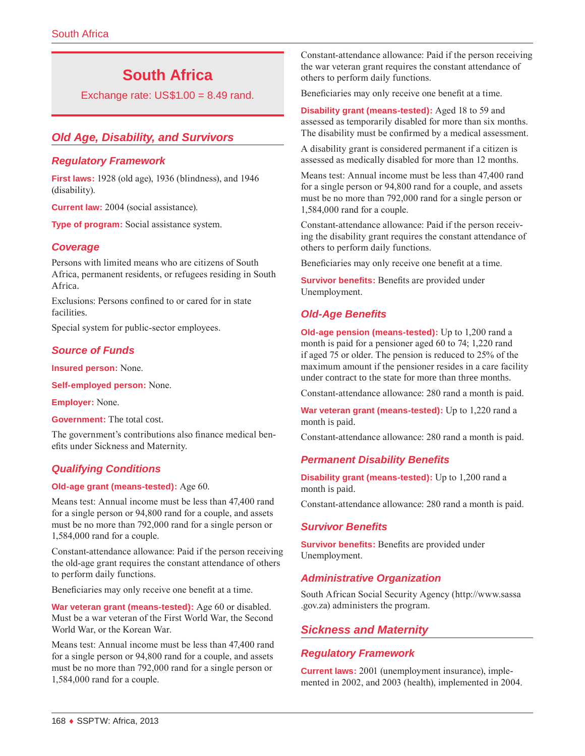# **South Africa**

Exchange rate:  $US$1.00 = 8.49$  rand.

# *Old Age, Disability, and Survivors*

#### *Regulatory Framework*

**First laws:** 1928 (old age), 1936 (blindness), and 1946 (disability).

**Current law:** 2004 (social assistance).

**Type of program:** Social assistance system.

# *Coverage*

Persons with limited means who are citizens of South Africa, permanent residents, or refugees residing in South Africa.

Exclusions: Persons confined to or cared for in state facilities.

Special system for public-sector employees.

#### *Source of Funds*

**Insured person:** None.

**Self-employed person:** None.

**Employer:** None.

**Government:** The total cost.

The government's contributions also finance medical benefits under Sickness and Maternity.

# *Qualifying Conditions*

#### **Old-age grant (means-tested):** Age 60.

Means test: Annual income must be less than 47,400 rand for a single person or 94,800 rand for a couple, and assets must be no more than 792,000 rand for a single person or 1,584,000 rand for a couple.

Constant-attendance allowance: Paid if the person receiving the old-age grant requires the constant attendance of others to perform daily functions.

Beneficiaries may only receive one benefit at a time.

**War veteran grant (means-tested):** Age 60 or disabled. Must be a war veteran of the First World War, the Second World War, or the Korean War.

Means test: Annual income must be less than 47,400 rand for a single person or 94,800 rand for a couple, and assets must be no more than 792,000 rand for a single person or 1,584,000 rand for a couple.

Constant-attendance allowance: Paid if the person receiving the war veteran grant requires the constant attendance of others to perform daily functions.

Beneficiaries may only receive one benefit at a time.

**Disability grant (means-tested):** Aged 18 to 59 and assessed as temporarily disabled for more than six months. The disability must be confirmed by a medical assessment.

A disability grant is considered permanent if a citizen is assessed as medically disabled for more than 12 months.

Means test: Annual income must be less than 47,400 rand for a single person or 94,800 rand for a couple, and assets must be no more than 792,000 rand for a single person or 1,584,000 rand for a couple.

Constant-attendance allowance: Paid if the person receiving the disability grant requires the constant attendance of others to perform daily functions.

Beneficiaries may only receive one benefit at a time.

**Survivor benefits:** Benefits are provided under Unemployment.

# *Old-Age Benefits*

**Old-age pension (means-tested):** Up to 1,200 rand a month is paid for a pensioner aged 60 to 74; 1,220 rand if aged 75 or older. The pension is reduced to 25% of the maximum amount if the pensioner resides in a care facility under contract to the state for more than three months.

Constant-attendance allowance: 280 rand a month is paid.

**War veteran grant (means-tested):** Up to 1,220 rand a month is paid.

Constant-attendance allowance: 280 rand a month is paid.

# *Permanent Disability Benefits*

**Disability grant (means-tested):** Up to 1,200 rand a month is paid.

Constant-attendance allowance: 280 rand a month is paid.

#### *Survivor Benefits*

**Survivor benefits:** Benefits are provided under Unemployment.

# *Administrative Organization*

South African Social Security Agency ([http://www.sassa](http://www.sassa.gov.za) [.gov.za](http://www.sassa.gov.za)) administers the program.

# *Sickness and Maternity*

#### *Regulatory Framework*

**Current laws:** 2001 (unemployment insurance), implemented in 2002, and 2003 (health), implemented in 2004.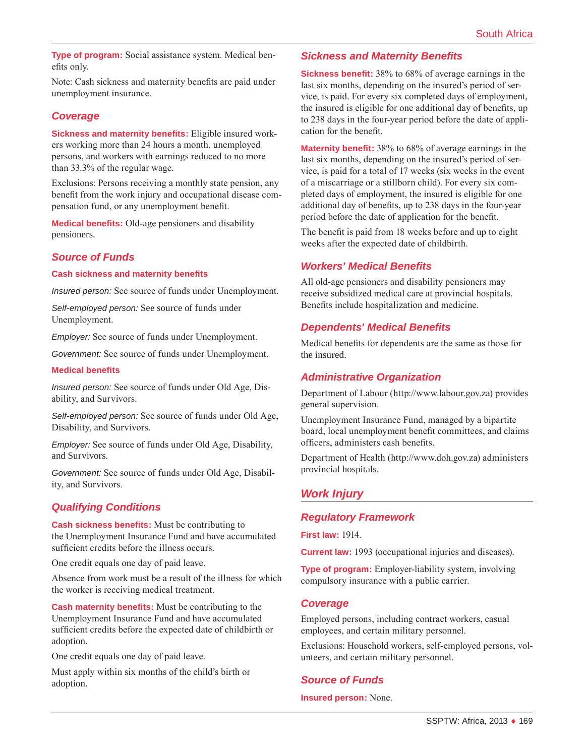**Type of program:** Social assistance system. Medical benefits only.

Note: Cash sickness and maternity benefits are paid under unemployment insurance.

# *Coverage*

**Sickness and maternity benefits:** Eligible insured workers working more than 24 hours a month, unemployed persons, and workers with earnings reduced to no more than 33.3% of the regular wage.

Exclusions: Persons receiving a monthly state pension, any benefit from the work injury and occupational disease compensation fund, or any unemployment benefit.

**Medical benefits:** Old-age pensioners and disability pensioners.

#### *Source of Funds*

**Cash sickness and maternity benefits**

*Insured person:* See source of funds under Unemployment.

*Self-employed person:* See source of funds under Unemployment.

*Employer:* See source of funds under Unemployment.

*Government:* See source of funds under Unemployment.

#### **Medical benefits**

*Insured person:* See source of funds under Old Age, Disability, and Survivors.

*Self-employed person:* See source of funds under Old Age, Disability, and Survivors.

*Employer:* See source of funds under Old Age, Disability, and Survivors.

*Government:* See source of funds under Old Age, Disability, and Survivors.

# *Qualifying Conditions*

**Cash sickness benefits:** Must be contributing to the Unemployment Insurance Fund and have accumulated sufficient credits before the illness occurs.

One credit equals one day of paid leave.

Absence from work must be a result of the illness for which the worker is receiving medical treatment.

**Cash maternity benefits:** Must be contributing to the Unemployment Insurance Fund and have accumulated sufficient credits before the expected date of childbirth or adoption.

One credit equals one day of paid leave.

Must apply within six months of the child's birth or adoption.

#### *Sickness and Maternity Benefits*

**Sickness benefit:** 38% to 68% of average earnings in the last six months, depending on the insured's period of service, is paid. For every six completed days of employment, the insured is eligible for one additional day of benefits, up to 238 days in the four-year period before the date of application for the benefit.

**Maternity benefit:** 38% to 68% of average earnings in the last six months, depending on the insured's period of service, is paid for a total of 17 weeks (six weeks in the event of a miscarriage or a stillborn child). For every six completed days of employment, the insured is eligible for one additional day of benefits, up to 238 days in the four-year period before the date of application for the benefit.

The benefit is paid from 18 weeks before and up to eight weeks after the expected date of childbirth.

#### *Workers' Medical Benefits*

All old-age pensioners and disability pensioners may receive subsidized medical care at provincial hospitals. Benefits include hospitalization and medicine.

#### *Dependents' Medical Benefits*

Medical benefits for dependents are the same as those for the insured.

#### *Administrative Organization*

Department of Labour ([http://www.labour.gov.za\)](http://www.labour.gov.za) provides general supervision.

Unemployment Insurance Fund, managed by a bipartite board, local unemployment benefit committees, and claims officers, administers cash benefits.

Department of Health [\(http://www.doh.gov.za\)](http://www.doh.gov.za) administers provincial hospitals.

# *Work Injury*

#### *Regulatory Framework*

**First law:** 1914.

**Current law:** 1993 (occupational injuries and diseases).

**Type of program:** Employer-liability system, involving compulsory insurance with a public carrier.

#### *Coverage*

Employed persons, including contract workers, casual employees, and certain military personnel.

Exclusions: Household workers, self-employed persons, volunteers, and certain military personnel.

# *Source of Funds*

**Insured person:** None.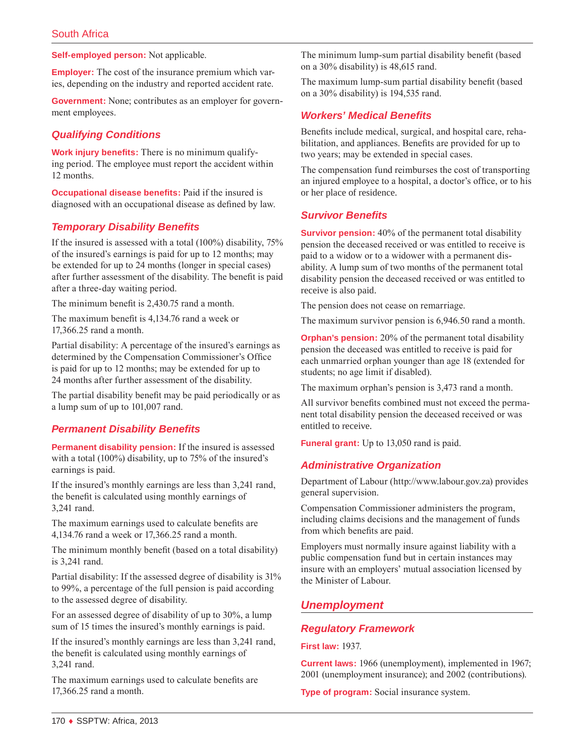**Self-employed person:** Not applicable.

**Employer:** The cost of the insurance premium which varies, depending on the industry and reported accident rate.

**Government:** None; contributes as an employer for government employees.

# *Qualifying Conditions*

**Work injury benefits:** There is no minimum qualifying period. The employee must report the accident within 12 months.

**Occupational disease benefits:** Paid if the insured is diagnosed with an occupational disease as defined by law.

#### *Temporary Disability Benefits*

If the insured is assessed with a total (100%) disability, 75% of the insured's earnings is paid for up to 12 months; may be extended for up to 24 months (longer in special cases) after further assessment of the disability. The benefit is paid after a three-day waiting period.

The minimum benefit is 2,430.75 rand a month.

The maximum benefit is 4,134.76 rand a week or 17,366.25 rand a month.

Partial disability: A percentage of the insured's earnings as determined by the Compensation Commissioner's Office is paid for up to 12 months; may be extended for up to 24 months after further assessment of the disability.

The partial disability benefit may be paid periodically or as a lump sum of up to 101,007 rand.

# *Permanent Disability Benefits*

**Permanent disability pension:** If the insured is assessed with a total (100%) disability, up to 75% of the insured's earnings is paid.

If the insured's monthly earnings are less than 3,241 rand, the benefit is calculated using monthly earnings of 3,241 rand.

The maximum earnings used to calculate benefits are 4,134.76 rand a week or 17,366.25 rand a month.

The minimum monthly benefit (based on a total disability) is 3,241 rand.

Partial disability: If the assessed degree of disability is 31% to 99%, a percentage of the full pension is paid according to the assessed degree of disability.

For an assessed degree of disability of up to 30%, a lump sum of 15 times the insured's monthly earnings is paid.

If the insured's monthly earnings are less than 3,241 rand, the benefit is calculated using monthly earnings of 3,241 rand.

The maximum earnings used to calculate benefits are 17,366.25 rand a month.

The minimum lump-sum partial disability benefit (based on a 30% disability) is 48,615 rand.

The maximum lump-sum partial disability benefit (based on a 30% disability) is 194,535 rand.

#### *Workers' Medical Benefits*

Benefits include medical, surgical, and hospital care, rehabilitation, and appliances. Benefits are provided for up to two years; may be extended in special cases.

The compensation fund reimburses the cost of transporting an injured employee to a hospital, a doctor's office, or to his or her place of residence.

#### *Survivor Benefits*

**Survivor pension:** 40% of the permanent total disability pension the deceased received or was entitled to receive is paid to a widow or to a widower with a permanent disability. A lump sum of two months of the permanent total disability pension the deceased received or was entitled to receive is also paid.

The pension does not cease on remarriage.

The maximum survivor pension is 6,946.50 rand a month.

**Orphan's pension:** 20% of the permanent total disability pension the deceased was entitled to receive is paid for each unmarried orphan younger than age 18 (extended for students; no age limit if disabled).

The maximum orphan's pension is 3,473 rand a month.

All survivor benefits combined must not exceed the permanent total disability pension the deceased received or was entitled to receive.

**Funeral grant:** Up to 13,050 rand is paid.

# *Administrative Organization*

Department of Labour ([http://www.labour.gov.za\)](http://www.labour.gov.za) provides general supervision.

Compensation Commissioner administers the program, including claims decisions and the management of funds from which benefits are paid.

Employers must normally insure against liability with a public compensation fund but in certain instances may insure with an employers' mutual association licensed by the Minister of Labour.

# *Unemployment*

#### *Regulatory Framework*

**First law:** 1937.

**Current laws:** 1966 (unemployment), implemented in 1967; 2001 (unemployment insurance); and 2002 (contributions).

**Type of program:** Social insurance system.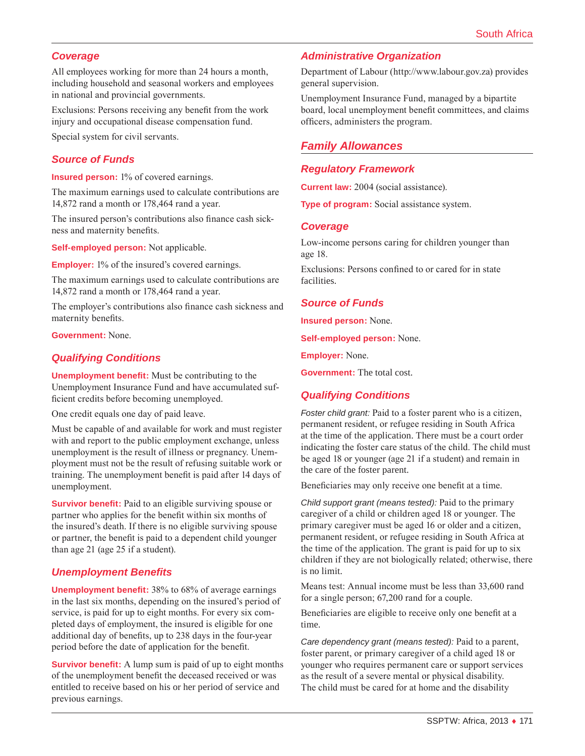#### *Coverage*

All employees working for more than 24 hours a month, including household and seasonal workers and employees in national and provincial governments.

Exclusions: Persons receiving any benefit from the work injury and occupational disease compensation fund.

Special system for civil servants.

#### *Source of Funds*

**Insured person:** 1% of covered earnings.

The maximum earnings used to calculate contributions are 14,872 rand a month or 178,464 rand a year.

The insured person's contributions also finance cash sickness and maternity benefits.

**Self-employed person:** Not applicable.

**Employer:** 1% of the insured's covered earnings.

The maximum earnings used to calculate contributions are 14,872 rand a month or 178,464 rand a year.

The employer's contributions also finance cash sickness and maternity benefits.

**Government:** None.

# *Qualifying Conditions*

**Unemployment benefit:** Must be contributing to the Unemployment Insurance Fund and have accumulated sufficient credits before becoming unemployed.

One credit equals one day of paid leave.

Must be capable of and available for work and must register with and report to the public employment exchange, unless unemployment is the result of illness or pregnancy. Unemployment must not be the result of refusing suitable work or training. The unemployment benefit is paid after 14 days of unemployment.

**Survivor benefit:** Paid to an eligible surviving spouse or partner who applies for the benefit within six months of the insured's death. If there is no eligible surviving spouse or partner, the benefit is paid to a dependent child younger than age 21 (age 25 if a student).

# *Unemployment Benefits*

**Unemployment benefit:** 38% to 68% of average earnings in the last six months, depending on the insured's period of service, is paid for up to eight months. For every six completed days of employment, the insured is eligible for one additional day of benefits, up to 238 days in the four-year period before the date of application for the benefit.

**Survivor benefit:** A lump sum is paid of up to eight months of the unemployment benefit the deceased received or was entitled to receive based on his or her period of service and previous earnings.

#### *Administrative Organization*

Department of Labour ([http://www.labour.gov.za\)](http://www.labour.gov.za) provides general supervision.

Unemployment Insurance Fund, managed by a bipartite board, local unemployment benefit committees, and claims officers, administers the program.

# *Family Allowances*

#### *Regulatory Framework*

**Current law:** 2004 (social assistance).

**Type of program:** Social assistance system.

#### *Coverage*

Low-income persons caring for children younger than age 18.

Exclusions: Persons confined to or cared for in state facilities.

#### *Source of Funds*

**Insured person:** None.

**Self-employed person:** None.

**Employer:** None.

**Government:** The total cost.

# *Qualifying Conditions*

*Foster child grant:* Paid to a foster parent who is a citizen, permanent resident, or refugee residing in South Africa at the time of the application. There must be a court order indicating the foster care status of the child. The child must be aged 18 or younger (age 21 if a student) and remain in the care of the foster parent.

Beneficiaries may only receive one benefit at a time.

*Child support grant (means tested):* Paid to the primary caregiver of a child or children aged 18 or younger. The primary caregiver must be aged 16 or older and a citizen, permanent resident, or refugee residing in South Africa at the time of the application. The grant is paid for up to six children if they are not biologically related; otherwise, there is no limit.

Means test: Annual income must be less than 33,600 rand for a single person; 67,200 rand for a couple.

Beneficiaries are eligible to receive only one benefit at a time.

*Care dependency grant (means tested):* Paid to a parent, foster parent, or primary caregiver of a child aged 18 or younger who requires permanent care or support services as the result of a severe mental or physical disability. The child must be cared for at home and the disability